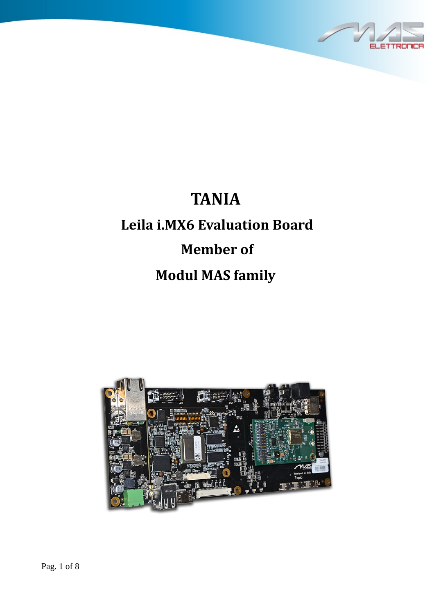

# <span id="page-0-0"></span>**TANIA**

# <span id="page-0-3"></span>**Leila i.MX6 Evaluation Board**

# <span id="page-0-2"></span>**Member of**

# <span id="page-0-1"></span>**Modul MAS family**

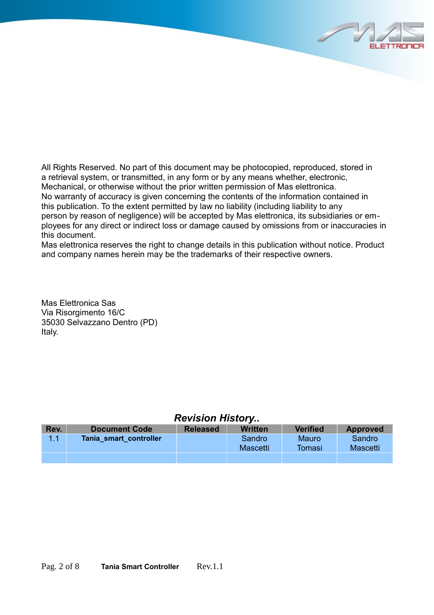

All Rights Reserved. No part of this document may be photocopied, reproduced, stored in a retrieval system, or transmitted, in any form or by any means whether, electronic, Mechanical, or otherwise without the prior written permission of Mas elettronica. No warranty of accuracy is given concerning the contents of the information contained in this publication. To the extent permitted by law no liability (including liability to any person by reason of negligence) will be accepted by Mas elettronica, its subsidiaries or employees for any direct or indirect loss or damage caused by omissions from or inaccuracies in this document.

Mas elettronica reserves the right to change details in this publication without notice. Product and company names herein may be the trademarks of their respective owners.

Mas Elettronica Sas Via Risorgimento 16/C 35030 Selvazzano Dentro (PD) Italy.

### *Revision History..*

| Rev. | <b>Document Code</b>   | <b>Released</b> | <b>Written</b> | <b>Verified</b> | <b>Approved</b> |
|------|------------------------|-----------------|----------------|-----------------|-----------------|
| 1.1  | Tania smart controller |                 | Sandro         | Mauro           | Sandro          |
|      |                        |                 | Mascetti       | <b>Tomasi</b>   | Mascetti        |
|      |                        |                 |                |                 |                 |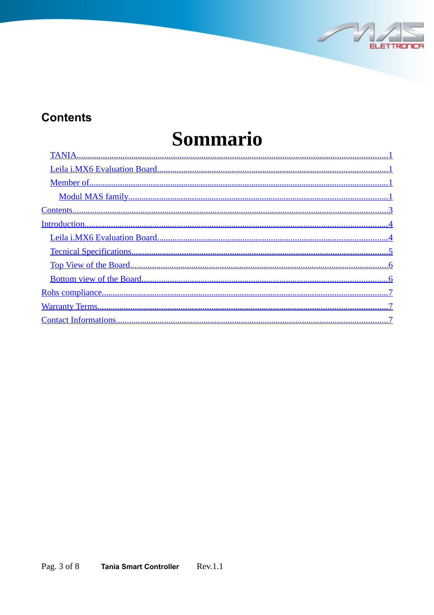

# <span id="page-2-0"></span>**Contents**

# Sommario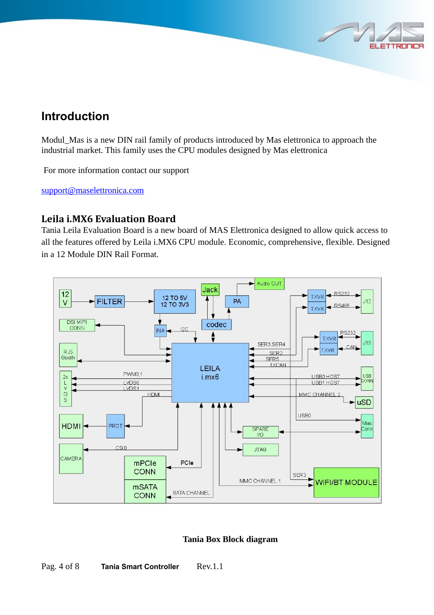# TROL

# <span id="page-3-1"></span>**Introduction**

Modul\_Mas is a new DIN rail family of products introduced by Mas elettronica to approach the industrial market. This family uses the CPU modules designed by Mas elettronica

For more information contact our support

support@maselettronica.com

#### <span id="page-3-0"></span>**Leila i.MX6 Evaluation Board**

Tania Leila Evaluation Board is a new board of MAS Elettronica designed to allow quick access to all the features offered by Leila i.MX6 CPU module. Economic, comprehensive, flexible. Designed in a 12 Module DIN Rail Format.



#### **Tania Box Block diagram**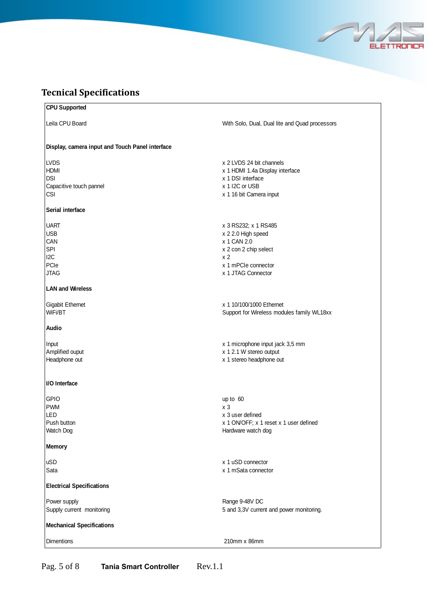# <span id="page-4-0"></span>**Tecnical Specifications**

| <b>CPU Supported</b>                            |                                                |  |  |  |  |
|-------------------------------------------------|------------------------------------------------|--|--|--|--|
| Leila CPU Board                                 | With Solo, Dual, Dual lite and Quad processors |  |  |  |  |
| Display, camera input and Touch Panel interface |                                                |  |  |  |  |
| <b>LVDS</b>                                     | x 2 LVDS 24 bit channels                       |  |  |  |  |
| <b>HDMI</b>                                     | x 1 HDMI 1.4a Display interface                |  |  |  |  |
| <b>DSI</b>                                      | x 1 DSI interface                              |  |  |  |  |
| Capacitive touch pannel                         | x 1 I2C or USB                                 |  |  |  |  |
| <b>CSI</b>                                      | x 1 16 bit Camera input                        |  |  |  |  |
| Serial interface                                |                                                |  |  |  |  |
| <b>UART</b>                                     |                                                |  |  |  |  |
| <b>USB</b>                                      | x 3 RS232; x 1 RS485                           |  |  |  |  |
| CAN                                             | x 2 2.0 High speed<br>x 1 CAN 2.0              |  |  |  |  |
| <b>SPI</b>                                      |                                                |  |  |  |  |
| 12C                                             | x 2 con 2 chip select<br>x <sub>2</sub>        |  |  |  |  |
|                                                 |                                                |  |  |  |  |
| PCIe<br><b>JTAG</b>                             | x 1 mPCIe connector<br>x 1 JTAG Connector      |  |  |  |  |
|                                                 |                                                |  |  |  |  |
| <b>LAN and Wireless</b>                         |                                                |  |  |  |  |
| Gigabit Ethernet                                | x 1 10/100/1000 Ethernet                       |  |  |  |  |
| WiFi/BT                                         | Support for Wireless modules family WL18xx     |  |  |  |  |
| <b>Audio</b>                                    |                                                |  |  |  |  |
| Input                                           | x 1 microphone input jack 3,5 mm               |  |  |  |  |
| Amplified ouput                                 | x 1 2.1 W stereo output                        |  |  |  |  |
| Headphone out                                   | x 1 stereo headphone out                       |  |  |  |  |
|                                                 |                                                |  |  |  |  |
| I/O Interface                                   |                                                |  |  |  |  |
| <b>GPIO</b>                                     | up to 60                                       |  |  |  |  |
| <b>PWM</b>                                      | x <sub>3</sub>                                 |  |  |  |  |
| LED                                             | x 3 user defined                               |  |  |  |  |
| Push button                                     | x 1 ON/OFF; x 1 reset x 1 user defined         |  |  |  |  |
| <b>Watch Dog</b>                                | Hardware watch dog                             |  |  |  |  |
| Memory                                          |                                                |  |  |  |  |
| uSD                                             | x 1 uSD connector                              |  |  |  |  |
| Sata                                            | x 1 mSata connector                            |  |  |  |  |
|                                                 |                                                |  |  |  |  |
| <b>Electrical Specifications</b>                |                                                |  |  |  |  |
| Power supply                                    | Range 9-48V DC                                 |  |  |  |  |
| Supply current monitoring                       | 5 and 3,3V current and power monitoring.       |  |  |  |  |
| <b>Mechanical Specifications</b>                |                                                |  |  |  |  |
| <b>Dimentions</b>                               | 210mm x 86mm                                   |  |  |  |  |
|                                                 |                                                |  |  |  |  |

T

ш

**ELETTROD** 

ICA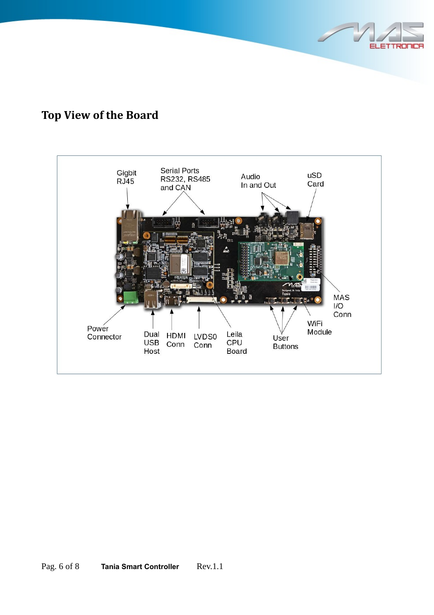# <span id="page-5-0"></span>**Top View of the Board**



ELETTRONCA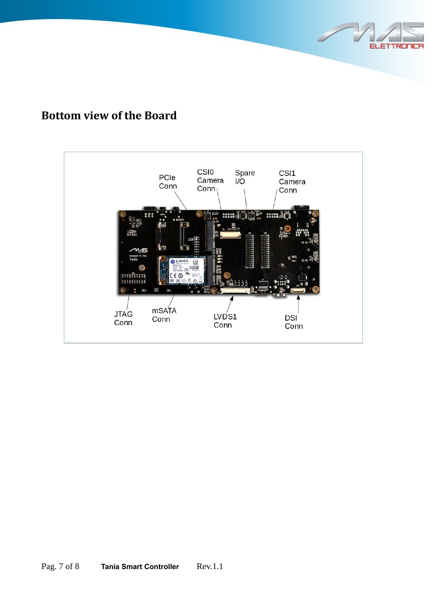

## <span id="page-6-0"></span>**Bottom view of the Board**